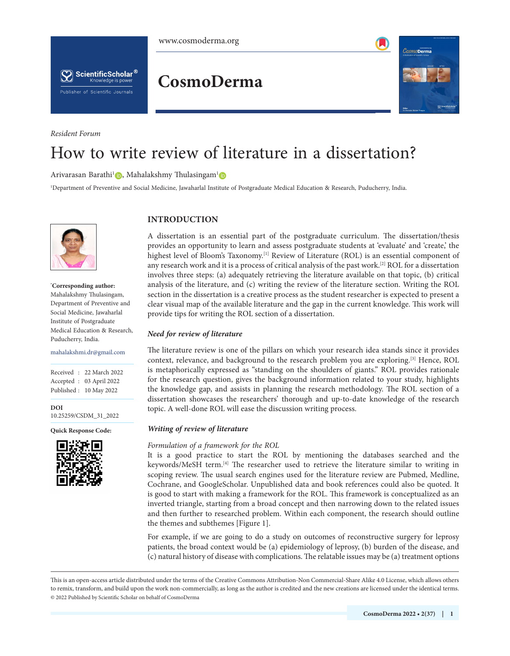

<span id="page-0-1"></span>

ScientificScholar<sup>®</sup> Knowledge is power **Publisher of Scientific Journals** 

*Resident Forum*

# **CosmoDerma**

<span id="page-0-3"></span><span id="page-0-2"></span>

# How to write review of literature in a dissertation?

Arivarasan Barathi<sup>[1](https://orcid.org/0000-0002-3147-0799)</sup> , Mahalakshmy Thulasingam<sup>1</sup>

1 Department of Preventive and Social Medicine, Jawaharlal Institute of Postgraduate Medical Education & Research, Puducherry, India.



**\* Corresponding author:**

Mahalakshmy Thulasingam, Department of Preventive and Social Medicine, Jawaharlal Institute of Postgraduate Medical Education & Research, Puducherry, India.

mahalakshmi.dr@gmail.com

Received : 22 March 2022 Accepted : 03 April 2022 Published : 10 May 2022

**DOI** 10.25259/CSDM\_31\_2022

**Quick Response Code:**



# **INTRODUCTION**

A dissertation is an essential part of the postgraduate curriculum. The dissertation/thesis provides an opportunity to learn and assess postgraduate students at 'evaluate' and 'create,' the highest level of Bloom's Taxonomy.<sup>[\[1\]](#page-2-0)</sup> Review of Literature (ROL) is an essential component of any research work and it is a process of critical analysis of the past work.[[2\]](#page-2-1) ROL for a dissertation involves three steps: (a) adequately retrieving the literature available on that topic, (b) critical analysis of the literature, and (c) writing the review of the literature section. Writing the ROL section in the dissertation is a creative process as the student researcher is expected to present a clear visual map of the available literature and the gap in the current knowledge. This work will provide tips for writing the ROL section of a dissertation.

#### *Need for review of literature*

The literature review is one of the pillars on which your research idea stands since it provides context, relevance, and background to the research problem you are exploring.[\[3](#page-2-2)] Hence, ROL is metaphorically expressed as "standing on the shoulders of giants." ROL provides rationale for the research question, gives the background information related to your study, highlights the knowledge gap, and assists in planning the research methodology. The ROL section of a dissertation showcases the researchers' thorough and up-to-date knowledge of the research topic. A well-done ROL will ease the discussion writing process.

#### *Writing of review of literature*

#### *Formulation of a framework for the ROL*

<span id="page-0-4"></span>It is a good practice to start the ROL by mentioning the databases searched and the keywords/MeSH term.[\[4](#page-2-3)] The researcher used to retrieve the literature similar to writing in scoping review. The usual search engines used for the literature review are Pubmed, Medline, Cochrane, and GoogleScholar. Unpublished data and book references could also be quoted. It is good to start with making a framework for the ROL. This framework is conceptualized as an inverted triangle, starting from a broad concept and then narrowing down to the related issues and then further to researched problem. Within each component, the research should outline the themes and subthemes [[Figure 1](#page-1-0)].

<span id="page-0-0"></span>For example, if we are going to do a study on outcomes of reconstructive surgery for leprosy patients, the broad context would be (a) epidemiology of leprosy, (b) burden of the disease, and (c) natural history of disease with complications. The relatable issues may be (a) treatment options

This is an open-access article distributed under the terms of the Creative Commons Attribution-Non Commercial-Share Alike 4.0 License, which allows others to remix, transform, and build upon the work non-commercially, as long as the author is credited and the new creations are licensed under the identical terms. © 2022 Published by Scientific Scholar on behalf of CosmoDerma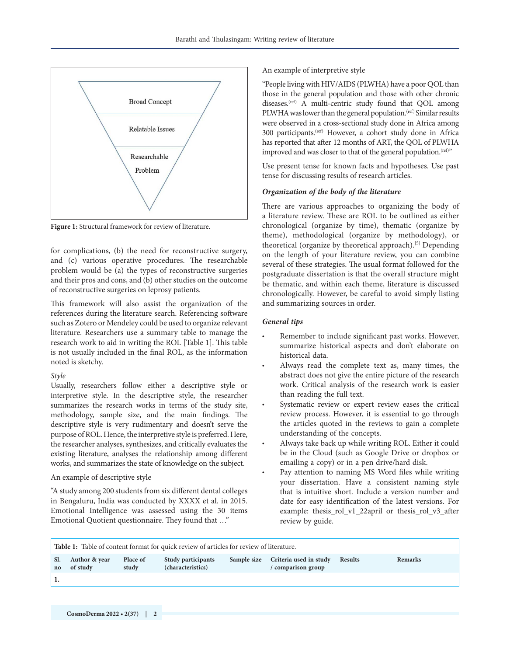

<span id="page-1-0"></span>**[Figure 1:](#page-0-0)** Structural framework for review of literature.

for complications, (b) the need for reconstructive surgery, and (c) various operative procedures. The researchable problem would be (a) the types of reconstructive surgeries and their pros and cons, and (b) other studies on the outcome of reconstructive surgeries on leprosy patients.

This framework will also assist the organization of the references during the literature search. Referencing software such as Zotero or Mendeley could be used to organize relevant literature. Researchers use a summary table to manage the research work to aid in writing the ROL [[Table 1](#page-1-1)]. This table is not usually included in the final ROL, as the information noted is sketchy.

#### <span id="page-1-2"></span>*Style*

Usually, researchers follow either a descriptive style or interpretive style. In the descriptive style, the researcher summarizes the research works in terms of the study site, methodology, sample size, and the main findings. The descriptive style is very rudimentary and doesn't serve the purpose of ROL. Hence, the interpretive style is preferred. Here, the researcher analyses, synthesizes, and critically evaluates the existing literature, analyses the relationship among different works, and summarizes the state of knowledge on the subject.

#### An example of descriptive style

"A study among 200 students from six different dental colleges in Bengaluru, India was conducted by XXXX et al. in 2015. Emotional Intelligence was assessed using the 30 items Emotional Quotient questionnaire. They found that …"

An example of interpretive style

"People living with HIV/AIDS (PLWHA) have a poor QOL than those in the general population and those with other chronic diseases.<sup>(ref)</sup> A multi-centric study found that QOL among PLWHA was lower than the general population.<sup>(ref)</sup> Similar results were observed in a cross-sectional study done in Africa among 300 participants.(ref) However, a cohort study done in Africa has reported that after 12 months of ART, the QOL of PLWHA improved and was closer to that of the general population.<sup>(ref)"</sup>

Use present tense for known facts and hypotheses. Use past tense for discussing results of research articles.

# *Organization of the body of the literature*

<span id="page-1-3"></span>There are various approaches to organizing the body of a literature review. These are ROL to be outlined as either chronological (organize by time), thematic (organize by theme), methodological (organize by methodology), or theoretical (organize by theoretical approach).[[5\]](#page-2-4) Depending on the length of your literature review, you can combine several of these strategies. The usual format followed for the postgraduate dissertation is that the overall structure might be thematic, and within each theme, literature is discussed chronologically. However, be careful to avoid simply listing and summarizing sources in order.

### *General tips*

- Remember to include significant past works. However, summarize historical aspects and don't elaborate on historical data.
- Always read the complete text as, many times, the abstract does not give the entire picture of the research work. Critical analysis of the research work is easier than reading the full text.
- Systematic review or expert review eases the critical review process. However, it is essential to go through the articles quoted in the reviews to gain a complete understanding of the concepts.
- Always take back up while writing ROL. Either it could be in the Cloud (such as Google Drive or dropbox or emailing a copy) or in a pen drive/hard disk.
- Pay attention to naming MS Word files while writing your dissertation. Have a consistent naming style that is intuitive short. Include a version number and date for easy identification of the latest versions. For example: thesis\_rol\_v1\_22april or thesis\_rol\_v3\_after review by guide.

<span id="page-1-1"></span>

| <b>Table 1:</b> Table of content format for quick review of articles for review of literature. |                           |                   |                                                |             |                                              |                |                |
|------------------------------------------------------------------------------------------------|---------------------------|-------------------|------------------------------------------------|-------------|----------------------------------------------|----------------|----------------|
| no                                                                                             | Author & year<br>of study | Place of<br>study | <b>Study participants</b><br>(characteristics) | Sample size | Criteria used in study<br>/ comparison group | <b>Results</b> | <b>Remarks</b> |
|                                                                                                |                           |                   |                                                |             |                                              |                |                |
|                                                                                                |                           |                   |                                                |             |                                              |                |                |